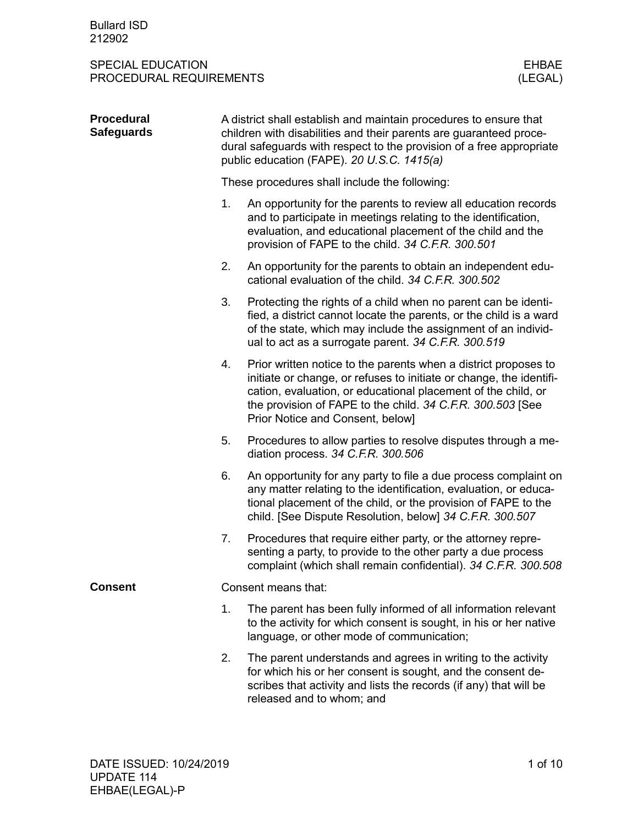| <b>Procedural</b><br><b>Safeguards</b> | A district shall establish and maintain procedures to ensure that<br>children with disabilities and their parents are guaranteed proce-<br>dural safeguards with respect to the provision of a free appropriate<br>public education (FAPE). 20 U.S.C. 1415(a) |                                                                                                                                                                                                                                                                                                           |  |  |  |  |  |
|----------------------------------------|---------------------------------------------------------------------------------------------------------------------------------------------------------------------------------------------------------------------------------------------------------------|-----------------------------------------------------------------------------------------------------------------------------------------------------------------------------------------------------------------------------------------------------------------------------------------------------------|--|--|--|--|--|
|                                        | These procedures shall include the following:                                                                                                                                                                                                                 |                                                                                                                                                                                                                                                                                                           |  |  |  |  |  |
|                                        | 1.                                                                                                                                                                                                                                                            | An opportunity for the parents to review all education records<br>and to participate in meetings relating to the identification,<br>evaluation, and educational placement of the child and the<br>provision of FAPE to the child. 34 C.F.R. 300.501                                                       |  |  |  |  |  |
|                                        | 2.                                                                                                                                                                                                                                                            | An opportunity for the parents to obtain an independent edu-<br>cational evaluation of the child. 34 C.F.R. 300.502                                                                                                                                                                                       |  |  |  |  |  |
|                                        | 3.                                                                                                                                                                                                                                                            | Protecting the rights of a child when no parent can be identi-<br>fied, a district cannot locate the parents, or the child is a ward<br>of the state, which may include the assignment of an individ-<br>ual to act as a surrogate parent. 34 C.F.R. 300.519                                              |  |  |  |  |  |
|                                        | 4.                                                                                                                                                                                                                                                            | Prior written notice to the parents when a district proposes to<br>initiate or change, or refuses to initiate or change, the identifi-<br>cation, evaluation, or educational placement of the child, or<br>the provision of FAPE to the child. 34 C.F.R. 300.503 [See<br>Prior Notice and Consent, below] |  |  |  |  |  |
|                                        | 5.                                                                                                                                                                                                                                                            | Procedures to allow parties to resolve disputes through a me-<br>diation process. 34 C.F.R. 300.506                                                                                                                                                                                                       |  |  |  |  |  |
|                                        | 6.                                                                                                                                                                                                                                                            | An opportunity for any party to file a due process complaint on<br>any matter relating to the identification, evaluation, or educa-<br>tional placement of the child, or the provision of FAPE to the<br>child. [See Dispute Resolution, below] 34 C.F.R. 300.507                                         |  |  |  |  |  |
|                                        | 7.                                                                                                                                                                                                                                                            | Procedures that require either party, or the attorney repre-<br>senting a party, to provide to the other party a due process<br>complaint (which shall remain confidential). 34 C.F.R. 300.508                                                                                                            |  |  |  |  |  |
| <b>Consent</b>                         |                                                                                                                                                                                                                                                               | Consent means that:                                                                                                                                                                                                                                                                                       |  |  |  |  |  |
|                                        | 1.                                                                                                                                                                                                                                                            | The parent has been fully informed of all information relevant<br>to the activity for which consent is sought, in his or her native<br>language, or other mode of communication;                                                                                                                          |  |  |  |  |  |
|                                        | 2.                                                                                                                                                                                                                                                            | The parent understands and agrees in writing to the activity<br>for which his or her consent is sought, and the consent de-<br>scribes that activity and lists the records (if any) that will be<br>released and to whom; and                                                                             |  |  |  |  |  |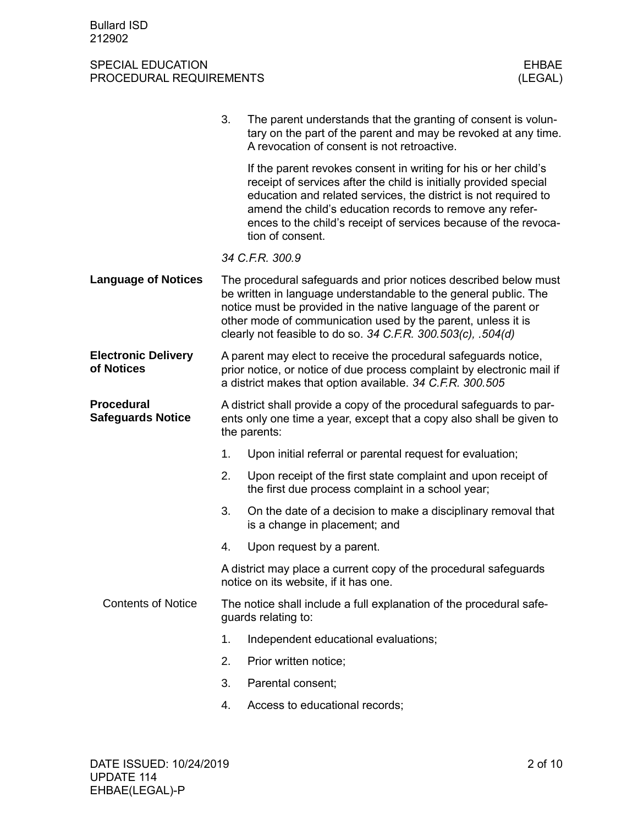|                                               | 3.                                                                                         | The parent understands that the granting of consent is volun-<br>tary on the part of the parent and may be revoked at any time.<br>A revocation of consent is not retroactive.                                                                                                                                                                             |  |  |  |
|-----------------------------------------------|--------------------------------------------------------------------------------------------|------------------------------------------------------------------------------------------------------------------------------------------------------------------------------------------------------------------------------------------------------------------------------------------------------------------------------------------------------------|--|--|--|
|                                               |                                                                                            | If the parent revokes consent in writing for his or her child's<br>receipt of services after the child is initially provided special<br>education and related services, the district is not required to<br>amend the child's education records to remove any refer-<br>ences to the child's receipt of services because of the revoca-<br>tion of consent. |  |  |  |
|                                               |                                                                                            | 34 C.F.R. 300.9                                                                                                                                                                                                                                                                                                                                            |  |  |  |
| <b>Language of Notices</b>                    |                                                                                            | The procedural safeguards and prior notices described below must<br>be written in language understandable to the general public. The<br>notice must be provided in the native language of the parent or<br>other mode of communication used by the parent, unless it is<br>clearly not feasible to do so. 34 C.F.R. 300.503(c), .504(d)                    |  |  |  |
| <b>Electronic Delivery</b><br>of Notices      |                                                                                            | A parent may elect to receive the procedural safeguards notice,<br>prior notice, or notice of due process complaint by electronic mail if<br>a district makes that option available. 34 C.F.R. 300.505                                                                                                                                                     |  |  |  |
| <b>Procedural</b><br><b>Safeguards Notice</b> |                                                                                            | A district shall provide a copy of the procedural safeguards to par-<br>ents only one time a year, except that a copy also shall be given to<br>the parents:                                                                                                                                                                                               |  |  |  |
|                                               | 1.                                                                                         | Upon initial referral or parental request for evaluation;                                                                                                                                                                                                                                                                                                  |  |  |  |
|                                               | 2.                                                                                         | Upon receipt of the first state complaint and upon receipt of<br>the first due process complaint in a school year;                                                                                                                                                                                                                                         |  |  |  |
|                                               | 3.                                                                                         | On the date of a decision to make a disciplinary removal that<br>is a change in placement; and                                                                                                                                                                                                                                                             |  |  |  |
|                                               | 4.                                                                                         | Upon request by a parent.                                                                                                                                                                                                                                                                                                                                  |  |  |  |
|                                               |                                                                                            | A district may place a current copy of the procedural safeguards<br>notice on its website, if it has one.                                                                                                                                                                                                                                                  |  |  |  |
| <b>Contents of Notice</b>                     | The notice shall include a full explanation of the procedural safe-<br>guards relating to: |                                                                                                                                                                                                                                                                                                                                                            |  |  |  |
|                                               | 1.                                                                                         | Independent educational evaluations;                                                                                                                                                                                                                                                                                                                       |  |  |  |
|                                               | 2.                                                                                         | Prior written notice;                                                                                                                                                                                                                                                                                                                                      |  |  |  |
|                                               | 3.                                                                                         | Parental consent;                                                                                                                                                                                                                                                                                                                                          |  |  |  |
|                                               | 4.                                                                                         | Access to educational records;                                                                                                                                                                                                                                                                                                                             |  |  |  |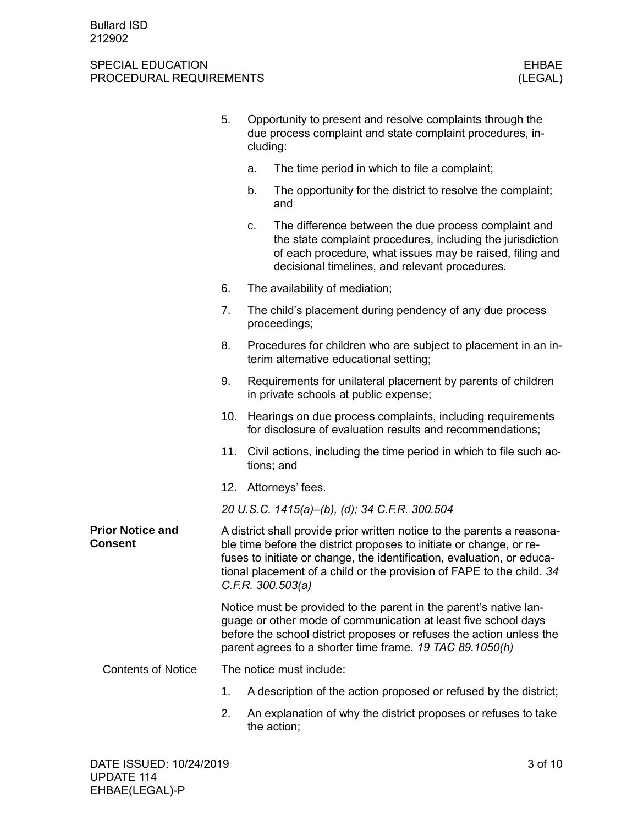|                                    | 5.  | cluding:                 | Opportunity to present and resolve complaints through the<br>due process complaint and state complaint procedures, in-                                                                                                                                                                                                 |
|------------------------------------|-----|--------------------------|------------------------------------------------------------------------------------------------------------------------------------------------------------------------------------------------------------------------------------------------------------------------------------------------------------------------|
|                                    |     | a.                       | The time period in which to file a complaint;                                                                                                                                                                                                                                                                          |
|                                    |     | b.                       | The opportunity for the district to resolve the complaint;<br>and                                                                                                                                                                                                                                                      |
|                                    |     | C.                       | The difference between the due process complaint and<br>the state complaint procedures, including the jurisdiction<br>of each procedure, what issues may be raised, filing and<br>decisional timelines, and relevant procedures.                                                                                       |
|                                    | 6.  |                          | The availability of mediation;                                                                                                                                                                                                                                                                                         |
|                                    | 7.  |                          | The child's placement during pendency of any due process<br>proceedings;                                                                                                                                                                                                                                               |
|                                    | 8.  |                          | Procedures for children who are subject to placement in an in-<br>terim alternative educational setting;                                                                                                                                                                                                               |
|                                    | 9.  |                          | Requirements for unilateral placement by parents of children<br>in private schools at public expense;                                                                                                                                                                                                                  |
|                                    | 10. |                          | Hearings on due process complaints, including requirements<br>for disclosure of evaluation results and recommendations;                                                                                                                                                                                                |
|                                    | 11. |                          | Civil actions, including the time period in which to file such ac-<br>tions; and                                                                                                                                                                                                                                       |
|                                    |     |                          | 12. Attorneys' fees.                                                                                                                                                                                                                                                                                                   |
|                                    |     |                          | 20 U.S.C. 1415(a)-(b), (d); 34 C.F.R. 300.504                                                                                                                                                                                                                                                                          |
| <b>Prior Notice and</b><br>Consent |     |                          | A district shall provide prior written notice to the parents a reasona-<br>ble time before the district proposes to initiate or change, or re-<br>fuses to initiate or change, the identification, evaluation, or educa-<br>tional placement of a child or the provision of FAPE to the child. 34<br>C.F.R. 300.503(a) |
|                                    |     |                          | Notice must be provided to the parent in the parent's native lan-<br>guage or other mode of communication at least five school days<br>before the school district proposes or refuses the action unless the<br>parent agrees to a shorter time frame. 19 TAC 89.1050(h)                                                |
| <b>Contents of Notice</b>          |     | The notice must include: |                                                                                                                                                                                                                                                                                                                        |
|                                    | 1.  |                          | A description of the action proposed or refused by the district;                                                                                                                                                                                                                                                       |
|                                    | 2.  |                          | An explanation of why the district proposes or refuses to take<br>the action;                                                                                                                                                                                                                                          |
|                                    |     |                          |                                                                                                                                                                                                                                                                                                                        |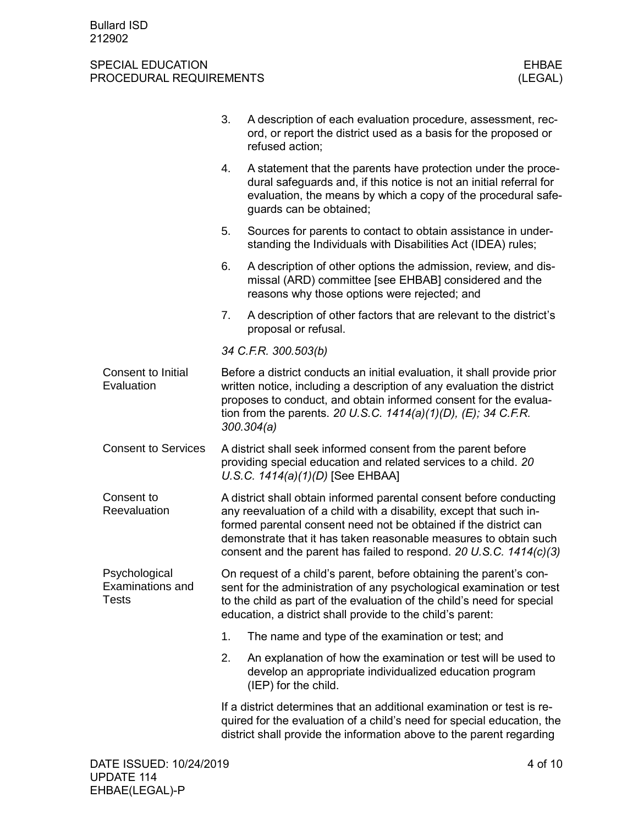|                                                   | 3.                                                                                                                                                                                                                                                                                                                                                       | A description of each evaluation procedure, assessment, rec-<br>ord, or report the district used as a basis for the proposed or<br>refused action;                                                                                                                                 |  |  |  |
|---------------------------------------------------|----------------------------------------------------------------------------------------------------------------------------------------------------------------------------------------------------------------------------------------------------------------------------------------------------------------------------------------------------------|------------------------------------------------------------------------------------------------------------------------------------------------------------------------------------------------------------------------------------------------------------------------------------|--|--|--|
|                                                   | 4.                                                                                                                                                                                                                                                                                                                                                       | A statement that the parents have protection under the proce-<br>dural safeguards and, if this notice is not an initial referral for<br>evaluation, the means by which a copy of the procedural safe-<br>guards can be obtained;                                                   |  |  |  |
|                                                   | 5.                                                                                                                                                                                                                                                                                                                                                       | Sources for parents to contact to obtain assistance in under-<br>standing the Individuals with Disabilities Act (IDEA) rules;                                                                                                                                                      |  |  |  |
|                                                   | 6.                                                                                                                                                                                                                                                                                                                                                       | A description of other options the admission, review, and dis-<br>missal (ARD) committee [see EHBAB] considered and the<br>reasons why those options were rejected; and                                                                                                            |  |  |  |
|                                                   | 7.                                                                                                                                                                                                                                                                                                                                                       | A description of other factors that are relevant to the district's<br>proposal or refusal.                                                                                                                                                                                         |  |  |  |
|                                                   |                                                                                                                                                                                                                                                                                                                                                          | 34 C.F.R. 300.503(b)                                                                                                                                                                                                                                                               |  |  |  |
| Consent to Initial<br>Evaluation                  | Before a district conducts an initial evaluation, it shall provide prior<br>written notice, including a description of any evaluation the district<br>proposes to conduct, and obtain informed consent for the evalua-<br>tion from the parents. 20 U.S.C. $1414(a)(1)(D)$ , (E); 34 C.F.R.<br>300.304(a)                                                |                                                                                                                                                                                                                                                                                    |  |  |  |
| <b>Consent to Services</b>                        | A district shall seek informed consent from the parent before<br>providing special education and related services to a child. 20<br>U.S.C. $1414(a)(1)(D)$ [See EHBAA]                                                                                                                                                                                   |                                                                                                                                                                                                                                                                                    |  |  |  |
| Consent to<br>Reevaluation                        | A district shall obtain informed parental consent before conducting<br>any reevaluation of a child with a disability, except that such in-<br>formed parental consent need not be obtained if the district can<br>demonstrate that it has taken reasonable measures to obtain such<br>consent and the parent has failed to respond. 20 U.S.C. 1414(c)(3) |                                                                                                                                                                                                                                                                                    |  |  |  |
| Psychological<br>Examinations and<br><b>Tests</b> |                                                                                                                                                                                                                                                                                                                                                          | On request of a child's parent, before obtaining the parent's con-<br>sent for the administration of any psychological examination or test<br>to the child as part of the evaluation of the child's need for special<br>education, a district shall provide to the child's parent: |  |  |  |
|                                                   | 1.                                                                                                                                                                                                                                                                                                                                                       | The name and type of the examination or test; and                                                                                                                                                                                                                                  |  |  |  |
|                                                   | 2.                                                                                                                                                                                                                                                                                                                                                       | An explanation of how the examination or test will be used to<br>develop an appropriate individualized education program<br>(IEP) for the child.                                                                                                                                   |  |  |  |
|                                                   |                                                                                                                                                                                                                                                                                                                                                          | If a district determines that an additional examination or test is re-<br>quired for the evaluation of a child's need for special education, the<br>district shall provide the information above to the parent regarding                                                           |  |  |  |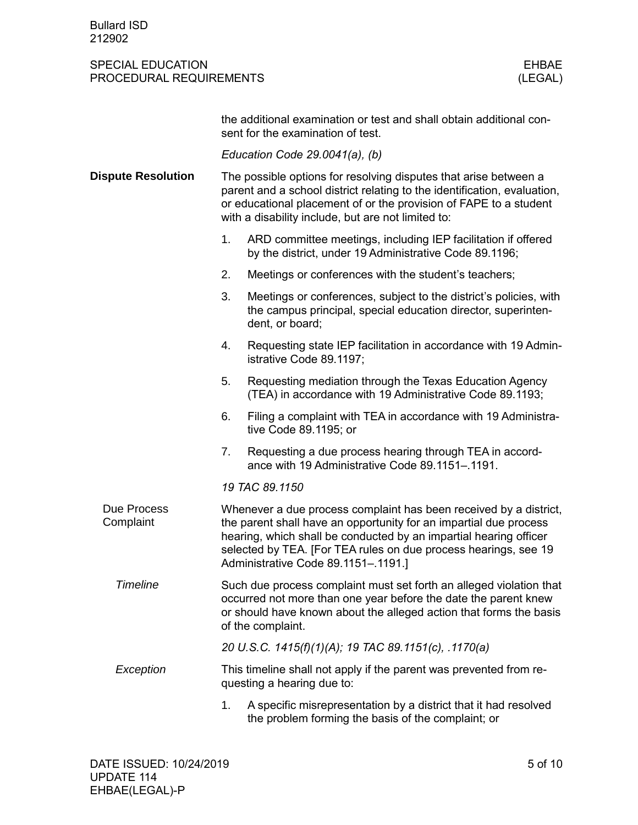|                           | the additional examination or test and shall obtain additional con-<br>sent for the examination of test.                                                                                                                                                                                                              |  |  |  |  |  |  |
|---------------------------|-----------------------------------------------------------------------------------------------------------------------------------------------------------------------------------------------------------------------------------------------------------------------------------------------------------------------|--|--|--|--|--|--|
|                           | Education Code $29.0041(a)$ , (b)                                                                                                                                                                                                                                                                                     |  |  |  |  |  |  |
| <b>Dispute Resolution</b> | The possible options for resolving disputes that arise between a<br>parent and a school district relating to the identification, evaluation,<br>or educational placement of or the provision of FAPE to a student<br>with a disability include, but are not limited to:                                               |  |  |  |  |  |  |
|                           | ARD committee meetings, including IEP facilitation if offered<br>1.<br>by the district, under 19 Administrative Code 89.1196;                                                                                                                                                                                         |  |  |  |  |  |  |
|                           | 2.<br>Meetings or conferences with the student's teachers;                                                                                                                                                                                                                                                            |  |  |  |  |  |  |
|                           | 3.<br>Meetings or conferences, subject to the district's policies, with<br>the campus principal, special education director, superinten-<br>dent, or board;                                                                                                                                                           |  |  |  |  |  |  |
|                           | 4.<br>Requesting state IEP facilitation in accordance with 19 Admin-<br>istrative Code 89.1197;                                                                                                                                                                                                                       |  |  |  |  |  |  |
|                           | Requesting mediation through the Texas Education Agency<br>5.<br>(TEA) in accordance with 19 Administrative Code 89.1193;                                                                                                                                                                                             |  |  |  |  |  |  |
|                           | Filing a complaint with TEA in accordance with 19 Administra-<br>6.<br>tive Code 89.1195; or                                                                                                                                                                                                                          |  |  |  |  |  |  |
|                           | 7.<br>Requesting a due process hearing through TEA in accord-<br>ance with 19 Administrative Code 89.1151-.1191.                                                                                                                                                                                                      |  |  |  |  |  |  |
|                           | 19 TAC 89.1150                                                                                                                                                                                                                                                                                                        |  |  |  |  |  |  |
| Due Process<br>Complaint  | Whenever a due process complaint has been received by a district,<br>the parent shall have an opportunity for an impartial due process<br>hearing, which shall be conducted by an impartial hearing officer<br>selected by TEA. [For TEA rules on due process hearings, see 19<br>Administrative Code 89.1151-.1191.] |  |  |  |  |  |  |
| <b>Timeline</b>           | Such due process complaint must set forth an alleged violation that<br>occurred not more than one year before the date the parent knew<br>or should have known about the alleged action that forms the basis<br>of the complaint.                                                                                     |  |  |  |  |  |  |
|                           | 20 U.S.C. 1415(f)(1)(A); 19 TAC 89.1151(c), .1170(a)                                                                                                                                                                                                                                                                  |  |  |  |  |  |  |
| Exception                 | This timeline shall not apply if the parent was prevented from re-<br>questing a hearing due to:                                                                                                                                                                                                                      |  |  |  |  |  |  |
|                           | A specific misrepresentation by a district that it had resolved<br>1.<br>the problem forming the basis of the complaint; or                                                                                                                                                                                           |  |  |  |  |  |  |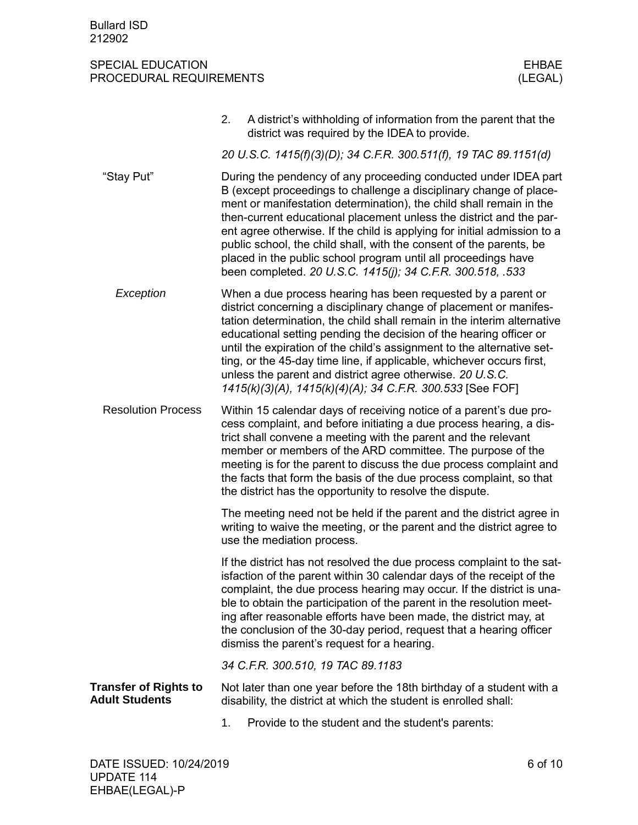|                                                       | 2. | A district's withholding of information from the parent that the<br>district was required by the IDEA to provide.                                                                                                                                                                                                                                                                                                                                                                                                                                                      |
|-------------------------------------------------------|----|------------------------------------------------------------------------------------------------------------------------------------------------------------------------------------------------------------------------------------------------------------------------------------------------------------------------------------------------------------------------------------------------------------------------------------------------------------------------------------------------------------------------------------------------------------------------|
|                                                       |    | 20 U.S.C. 1415(f)(3)(D); 34 C.F.R. 300.511(f), 19 TAC 89.1151(d)                                                                                                                                                                                                                                                                                                                                                                                                                                                                                                       |
| "Stay Put"                                            |    | During the pendency of any proceeding conducted under IDEA part<br>B (except proceedings to challenge a disciplinary change of place-<br>ment or manifestation determination), the child shall remain in the<br>then-current educational placement unless the district and the par-<br>ent agree otherwise. If the child is applying for initial admission to a<br>public school, the child shall, with the consent of the parents, be<br>placed in the public school program until all proceedings have<br>been completed. 20 U.S.C. 1415(j); 34 C.F.R. 300.518, .533 |
| Exception                                             |    | When a due process hearing has been requested by a parent or<br>district concerning a disciplinary change of placement or manifes-<br>tation determination, the child shall remain in the interim alternative<br>educational setting pending the decision of the hearing officer or<br>until the expiration of the child's assignment to the alternative set-<br>ting, or the 45-day time line, if applicable, whichever occurs first,<br>unless the parent and district agree otherwise. 20 U.S.C.<br>1415(k)(3)(A), 1415(k)(4)(A); 34 C.F.R. 300.533 [See FOF]       |
| <b>Resolution Process</b>                             |    | Within 15 calendar days of receiving notice of a parent's due pro-<br>cess complaint, and before initiating a due process hearing, a dis-<br>trict shall convene a meeting with the parent and the relevant<br>member or members of the ARD committee. The purpose of the<br>meeting is for the parent to discuss the due process complaint and<br>the facts that form the basis of the due process complaint, so that<br>the district has the opportunity to resolve the dispute.                                                                                     |
|                                                       |    | The meeting need not be held if the parent and the district agree in<br>writing to waive the meeting, or the parent and the district agree to<br>use the mediation process.                                                                                                                                                                                                                                                                                                                                                                                            |
|                                                       |    | If the district has not resolved the due process complaint to the sat-<br>isfaction of the parent within 30 calendar days of the receipt of the<br>complaint, the due process hearing may occur. If the district is una-<br>ble to obtain the participation of the parent in the resolution meet-<br>ing after reasonable efforts have been made, the district may, at<br>the conclusion of the 30-day period, request that a hearing officer<br>dismiss the parent's request for a hearing.                                                                           |
|                                                       |    | 34 C.F.R. 300.510, 19 TAC 89.1183                                                                                                                                                                                                                                                                                                                                                                                                                                                                                                                                      |
| <b>Transfer of Rights to</b><br><b>Adult Students</b> |    | Not later than one year before the 18th birthday of a student with a<br>disability, the district at which the student is enrolled shall:                                                                                                                                                                                                                                                                                                                                                                                                                               |
|                                                       | 1. | Provide to the student and the student's parents:                                                                                                                                                                                                                                                                                                                                                                                                                                                                                                                      |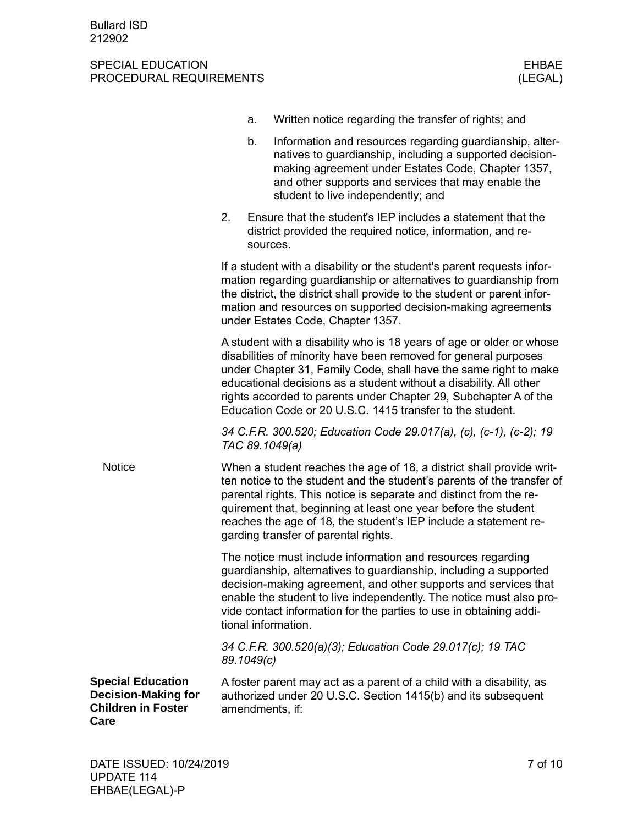|                                                                                             |            | a.       | Written notice regarding the transfer of rights; and                                                                                                                                                                                                                                                                                                                                                               |
|---------------------------------------------------------------------------------------------|------------|----------|--------------------------------------------------------------------------------------------------------------------------------------------------------------------------------------------------------------------------------------------------------------------------------------------------------------------------------------------------------------------------------------------------------------------|
|                                                                                             |            | b.       | Information and resources regarding guardianship, alter-<br>natives to guardianship, including a supported decision-<br>making agreement under Estates Code, Chapter 1357,<br>and other supports and services that may enable the<br>student to live independently; and                                                                                                                                            |
|                                                                                             | 2.         | sources. | Ensure that the student's IEP includes a statement that the<br>district provided the required notice, information, and re-                                                                                                                                                                                                                                                                                         |
|                                                                                             |            |          | If a student with a disability or the student's parent requests infor-<br>mation regarding guardianship or alternatives to guardianship from<br>the district, the district shall provide to the student or parent infor-<br>mation and resources on supported decision-making agreements<br>under Estates Code, Chapter 1357.                                                                                      |
|                                                                                             |            |          | A student with a disability who is 18 years of age or older or whose<br>disabilities of minority have been removed for general purposes<br>under Chapter 31, Family Code, shall have the same right to make<br>educational decisions as a student without a disability. All other<br>rights accorded to parents under Chapter 29, Subchapter A of the<br>Education Code or 20 U.S.C. 1415 transfer to the student. |
|                                                                                             |            |          | 34 C.F.R. 300.520; Education Code 29.017(a), (c), (c-1), (c-2); 19<br>TAC 89.1049(a)                                                                                                                                                                                                                                                                                                                               |
| <b>Notice</b>                                                                               |            |          | When a student reaches the age of 18, a district shall provide writ-<br>ten notice to the student and the student's parents of the transfer of<br>parental rights. This notice is separate and distinct from the re-<br>quirement that, beginning at least one year before the student<br>reaches the age of 18, the student's IEP include a statement re-<br>garding transfer of parental rights.                 |
|                                                                                             |            |          | The notice must include information and resources regarding<br>guardianship, alternatives to guardianship, including a supported<br>decision-making agreement, and other supports and services that<br>enable the student to live independently. The notice must also pro-<br>vide contact information for the parties to use in obtaining addi-<br>tional information.                                            |
|                                                                                             | 89.1049(c) |          | 34 C.F.R. 300.520(a)(3); Education Code 29.017(c); 19 TAC                                                                                                                                                                                                                                                                                                                                                          |
| <b>Special Education</b><br><b>Decision-Making for</b><br><b>Children in Foster</b><br>Care |            |          | A foster parent may act as a parent of a child with a disability, as<br>authorized under 20 U.S.C. Section 1415(b) and its subsequent<br>amendments, if:                                                                                                                                                                                                                                                           |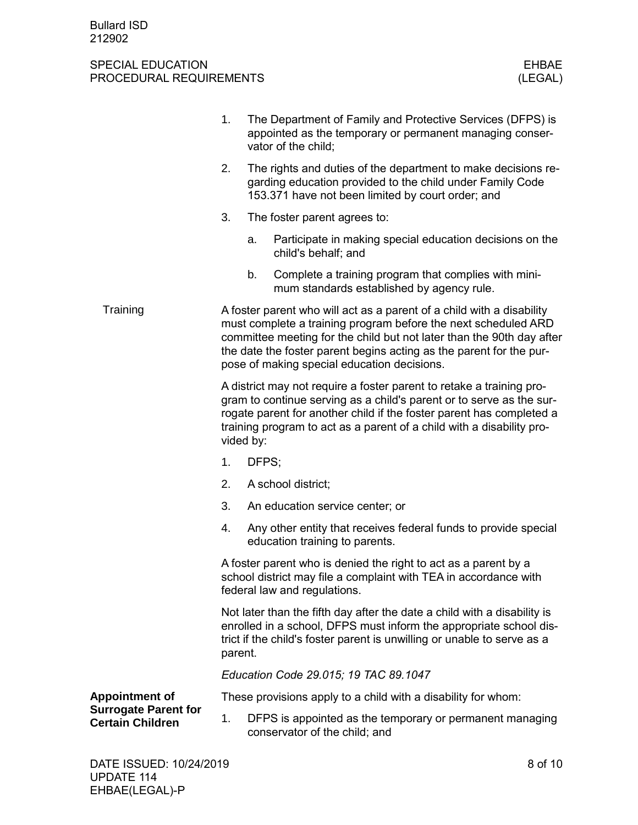|                                                        | 1.                                                                                                                                                                                                                                                                                                                                     |           | The Department of Family and Protective Services (DFPS) is<br>appointed as the temporary or permanent managing conser-<br>vator of the child;                                                                                                                                                 |  |  |
|--------------------------------------------------------|----------------------------------------------------------------------------------------------------------------------------------------------------------------------------------------------------------------------------------------------------------------------------------------------------------------------------------------|-----------|-----------------------------------------------------------------------------------------------------------------------------------------------------------------------------------------------------------------------------------------------------------------------------------------------|--|--|
|                                                        | 2.<br>The rights and duties of the department to make decisions re-<br>garding education provided to the child under Family Code<br>153.371 have not been limited by court order; and                                                                                                                                                  |           |                                                                                                                                                                                                                                                                                               |  |  |
|                                                        | 3.                                                                                                                                                                                                                                                                                                                                     |           | The foster parent agrees to:                                                                                                                                                                                                                                                                  |  |  |
|                                                        |                                                                                                                                                                                                                                                                                                                                        | a.        | Participate in making special education decisions on the<br>child's behalf; and                                                                                                                                                                                                               |  |  |
|                                                        |                                                                                                                                                                                                                                                                                                                                        | b.        | Complete a training program that complies with mini-<br>mum standards established by agency rule.                                                                                                                                                                                             |  |  |
| Training                                               | A foster parent who will act as a parent of a child with a disability<br>must complete a training program before the next scheduled ARD<br>committee meeting for the child but not later than the 90th day after<br>the date the foster parent begins acting as the parent for the pur-<br>pose of making special education decisions. |           |                                                                                                                                                                                                                                                                                               |  |  |
|                                                        |                                                                                                                                                                                                                                                                                                                                        | vided by: | A district may not require a foster parent to retake a training pro-<br>gram to continue serving as a child's parent or to serve as the sur-<br>rogate parent for another child if the foster parent has completed a<br>training program to act as a parent of a child with a disability pro- |  |  |
|                                                        | 1.                                                                                                                                                                                                                                                                                                                                     | DFPS;     |                                                                                                                                                                                                                                                                                               |  |  |
|                                                        | 2.                                                                                                                                                                                                                                                                                                                                     |           | A school district;                                                                                                                                                                                                                                                                            |  |  |
|                                                        | 3.                                                                                                                                                                                                                                                                                                                                     |           | An education service center; or                                                                                                                                                                                                                                                               |  |  |
|                                                        | 4.                                                                                                                                                                                                                                                                                                                                     |           | Any other entity that receives federal funds to provide special<br>education training to parents.                                                                                                                                                                                             |  |  |
|                                                        | A foster parent who is denied the right to act as a parent by a<br>school district may file a complaint with TEA in accordance with<br>federal law and regulations.                                                                                                                                                                    |           |                                                                                                                                                                                                                                                                                               |  |  |
|                                                        | parent.                                                                                                                                                                                                                                                                                                                                |           | Not later than the fifth day after the date a child with a disability is<br>enrolled in a school, DFPS must inform the appropriate school dis-<br>trict if the child's foster parent is unwilling or unable to serve as a                                                                     |  |  |
|                                                        | Education Code 29.015; 19 TAC 89.1047                                                                                                                                                                                                                                                                                                  |           |                                                                                                                                                                                                                                                                                               |  |  |
| <b>Appointment of</b>                                  |                                                                                                                                                                                                                                                                                                                                        |           | These provisions apply to a child with a disability for whom:                                                                                                                                                                                                                                 |  |  |
| <b>Surrogate Parent for</b><br><b>Certain Children</b> | 1.                                                                                                                                                                                                                                                                                                                                     |           | DFPS is appointed as the temporary or permanent managing<br>conservator of the child; and                                                                                                                                                                                                     |  |  |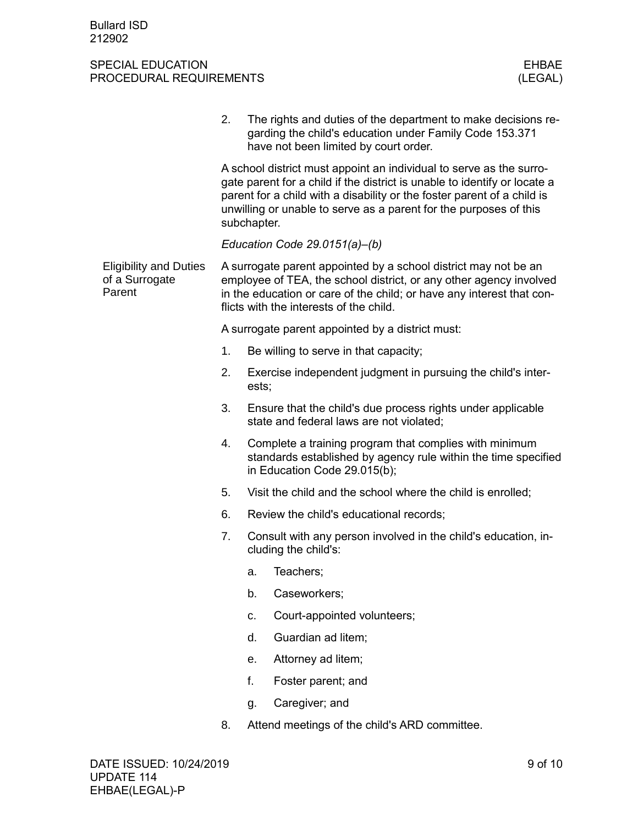|                                                           | 2. | The rights and duties of the department to make decisions re-<br>garding the child's education under Family Code 153.371<br>have not been limited by court order.                                                                                                                                               |  |  |  |  |
|-----------------------------------------------------------|----|-----------------------------------------------------------------------------------------------------------------------------------------------------------------------------------------------------------------------------------------------------------------------------------------------------------------|--|--|--|--|
|                                                           |    | A school district must appoint an individual to serve as the surro-<br>gate parent for a child if the district is unable to identify or locate a<br>parent for a child with a disability or the foster parent of a child is<br>unwilling or unable to serve as a parent for the purposes of this<br>subchapter. |  |  |  |  |
|                                                           |    | Education Code 29.0151(a)-(b)                                                                                                                                                                                                                                                                                   |  |  |  |  |
| <b>Eligibility and Duties</b><br>of a Surrogate<br>Parent |    | A surrogate parent appointed by a school district may not be an<br>employee of TEA, the school district, or any other agency involved<br>in the education or care of the child; or have any interest that con-<br>flicts with the interests of the child.                                                       |  |  |  |  |
|                                                           |    | A surrogate parent appointed by a district must:                                                                                                                                                                                                                                                                |  |  |  |  |
|                                                           | 1. | Be willing to serve in that capacity;                                                                                                                                                                                                                                                                           |  |  |  |  |
|                                                           | 2. | Exercise independent judgment in pursuing the child's inter-<br>ests;                                                                                                                                                                                                                                           |  |  |  |  |
|                                                           | 3. | Ensure that the child's due process rights under applicable<br>state and federal laws are not violated;                                                                                                                                                                                                         |  |  |  |  |
|                                                           | 4. | Complete a training program that complies with minimum<br>standards established by agency rule within the time specified<br>in Education Code 29.015(b);                                                                                                                                                        |  |  |  |  |
|                                                           | 5. | Visit the child and the school where the child is enrolled;                                                                                                                                                                                                                                                     |  |  |  |  |
|                                                           | 6. | Review the child's educational records;                                                                                                                                                                                                                                                                         |  |  |  |  |
|                                                           | 7. | Consult with any person involved in the child's education, in-<br>cluding the child's:                                                                                                                                                                                                                          |  |  |  |  |
|                                                           |    | Teachers;<br>a.                                                                                                                                                                                                                                                                                                 |  |  |  |  |
|                                                           |    | b.<br>Caseworkers;                                                                                                                                                                                                                                                                                              |  |  |  |  |
|                                                           |    | Court-appointed volunteers;<br>c.                                                                                                                                                                                                                                                                               |  |  |  |  |
|                                                           |    | Guardian ad litem;<br>d.                                                                                                                                                                                                                                                                                        |  |  |  |  |
|                                                           |    | Attorney ad litem;<br>е.                                                                                                                                                                                                                                                                                        |  |  |  |  |
|                                                           |    | f.<br>Foster parent; and                                                                                                                                                                                                                                                                                        |  |  |  |  |
|                                                           |    | Caregiver; and<br>g.                                                                                                                                                                                                                                                                                            |  |  |  |  |
|                                                           | 8. | Attend meetings of the child's ARD committee.                                                                                                                                                                                                                                                                   |  |  |  |  |
|                                                           |    |                                                                                                                                                                                                                                                                                                                 |  |  |  |  |